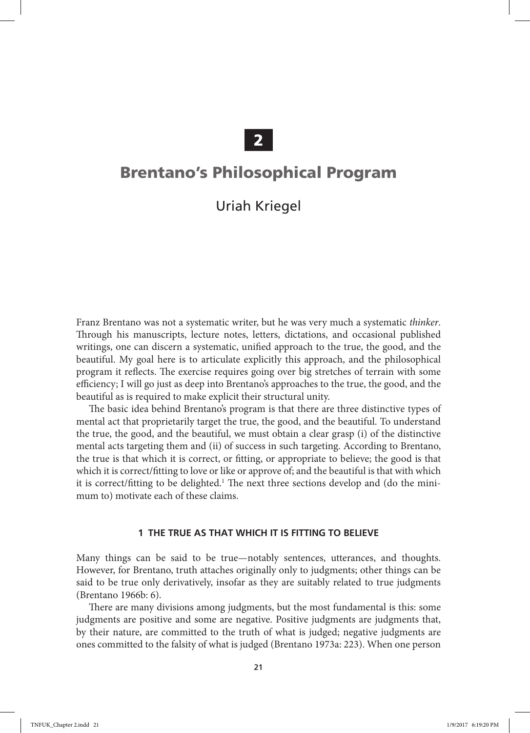# 2

# Brentano's Philosophical Program

# Uriah Kriegel

Franz Brentano was not a systematic writer, but he was very much a systematic *thinker*. Through his manuscripts, lecture notes, letters, dictations, and occasional published writings, one can discern a systematic, unified approach to the true, the good, and the beautiful. My goal here is to articulate explicitly this approach, and the philosophical program it reflects. The exercise requires going over big stretches of terrain with some efficiency; I will go just as deep into Brentano's approaches to the true, the good, and the beautiful as is required to make explicit their structural unity.

The basic idea behind Brentano's program is that there are three distinctive types of mental act that proprietarily target the true, the good, and the beautiful. To understand the true, the good, and the beautiful, we must obtain a clear grasp (i) of the distinctive mental acts targeting them and (ii) of success in such targeting. According to Brentano, the true is that which it is correct, or fitting, or appropriate to believe; the good is that which it is correct/fitting to love or like or approve of; and the beautiful is that with which it is correct/fitting to be delighted.<sup>1</sup> The next three sections develop and (do the minimum to) motivate each of these claims.

### **� The True as That Which It Is Fitting to Believe**

Many things can be said to be true—notably sentences, utterances, and thoughts. However, for Brentano, truth attaches originally only to judgments; other things can be said to be true only derivatively, insofar as they are suitably related to true judgments (Brentano 1966b: 6).

There are many divisions among judgments, but the most fundamental is this: some judgments are positive and some are negative. Positive judgments are judgments that, by their nature, are committed to the truth of what is judged; negative judgments are ones committed to the falsity of what is judged (Brentano 1973a: 223). When one person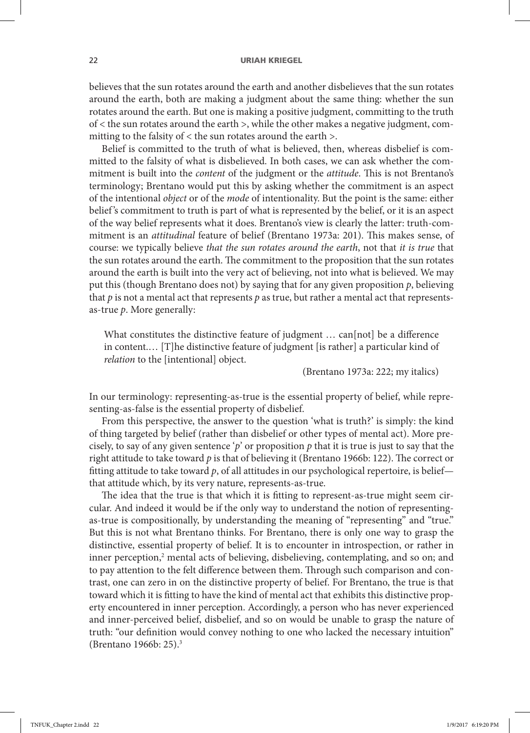believes that the sun rotates around the earth and another disbelieves that the sun rotates around the earth, both are making a judgment about the same thing: whether the sun rotates around the earth. But one is making a positive judgment, committing to the truth of < the sun rotates around the earth >, while the other makes a negative judgment, committing to the falsity of < the sun rotates around the earth >.

Belief is committed to the truth of what is believed, then, whereas disbelief is committed to the falsity of what is disbelieved. In both cases, we can ask whether the commitment is built into the *content* of the judgment or the *attitude*. This is not Brentano's terminology; Brentano would put this by asking whether the commitment is an aspect of the intentional *object* or of the *mode* of intentionality. But the point is the same: either belief 's commitment to truth is part of what is represented by the belief, or it is an aspect of the way belief represents what it does. Brentano's view is clearly the latter: truth-commitment is an *attitudinal* feature of belief (Brentano 1973a: 201). This makes sense, of course: we typically believe *that the sun rotates around the earth*, not that *it is true* that the sun rotates around the earth. The commitment to the proposition that the sun rotates around the earth is built into the very act of believing, not into what is believed. We may put this (though Brentano does not) by saying that for any given proposition *p*, believing that  $p$  is not a mental act that represents  $p$  as true, but rather a mental act that representsas-true *p*. More generally:

What constitutes the distinctive feature of judgment ... can [not] be a difference in content.… [T]he distinctive feature of judgment [is rather] a particular kind of *relation* to the [intentional] object.

(Brentano 1973a: 222; my italics)

In our terminology: representing-as-true is the essential property of belief, while representing-as-false is the essential property of disbelief.

From this perspective, the answer to the question 'what is truth?' is simply: the kind of thing targeted by belief (rather than disbelief or other types of mental act). More precisely, to say of any given sentence '*p*' or proposition *p* that it is true is just to say that the right attitude to take toward *p* is that of believing it (Brentano 1966b: 122). The correct or fitting attitude to take toward *p*, of all attitudes in our psychological repertoire, is belief that attitude which, by its very nature, represents-as-true.

The idea that the true is that which it is fitting to represent-as-true might seem circular. And indeed it would be if the only way to understand the notion of representingas-true is compositionally, by understanding the meaning of "representing" and "true." But this is not what Brentano thinks. For Brentano, there is only one way to grasp the distinctive, essential property of belief. It is to encounter in introspection, or rather in inner perception,<sup>2</sup> mental acts of believing, disbelieving, contemplating, and so on; and to pay attention to the felt difference between them. Through such comparison and contrast, one can zero in on the distinctive property of belief. For Brentano, the true is that toward which it is fitting to have the kind of mental act that exhibits this distinctive property encountered in inner perception. Accordingly, a person who has never experienced and inner-perceived belief, disbelief, and so on would be unable to grasp the nature of truth: "our definition would convey nothing to one who lacked the necessary intuition" (Brentano 1966b: 25).3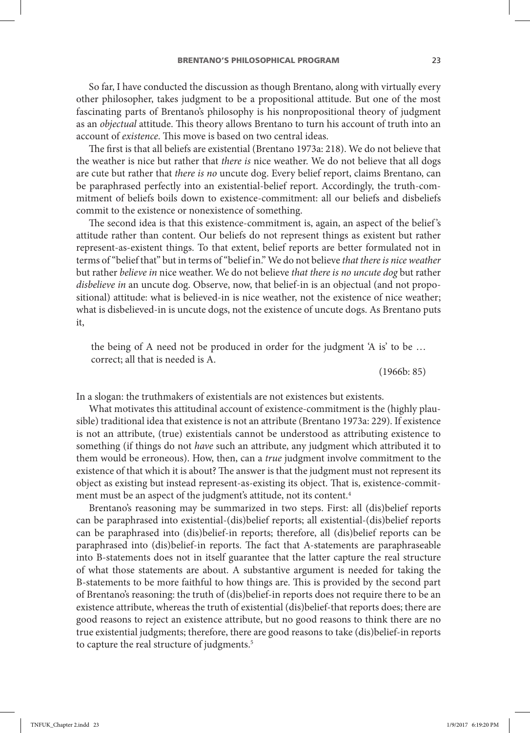So far, I have conducted the discussion as though Brentano, along with virtually every other philosopher, takes judgment to be a propositional attitude. But one of the most fascinating parts of Brentano's philosophy is his nonpropositional theory of judgment as an *objectual* attitude. This theory allows Brentano to turn his account of truth into an account of *existence*. This move is based on two central ideas.

The first is that all beliefs are existential (Brentano 1973a: 218). We do not believe that the weather is nice but rather that *there is* nice weather. We do not believe that all dogs are cute but rather that *there is no* uncute dog. Every belief report, claims Brentano, can be paraphrased perfectly into an existential-belief report. Accordingly, the truth-commitment of beliefs boils down to existence-commitment: all our beliefs and disbeliefs commit to the existence or nonexistence of something.

The second idea is that this existence-commitment is, again, an aspect of the belief 's attitude rather than content. Our beliefs do not represent things as existent but rather represent-as-existent things. To that extent, belief reports are better formulated not in terms of "belief that" but in terms of "belief in." We do not believe *that there is nice weather* but rather *believe in* nice weather. We do not believe *that there is no uncute dog* but rather *disbelieve in* an uncute dog. Observe, now, that belief-in is an objectual (and not propositional) attitude: what is believed-in is nice weather, not the existence of nice weather; what is disbelieved-in is uncute dogs, not the existence of uncute dogs. As Brentano puts it,

the being of A need not be produced in order for the judgment 'A is' to be … correct; all that is needed is A.

(1966b: 85)

In a slogan: the truthmakers of existentials are not existences but existents.

What motivates this attitudinal account of existence-commitment is the (highly plausible) traditional idea that existence is not an attribute (Brentano 1973a: 229). If existence is not an attribute, (true) existentials cannot be understood as attributing existence to something (if things do not *have* such an attribute, any judgment which attributed it to them would be erroneous). How, then, can a *true* judgment involve commitment to the existence of that which it is about? The answer is that the judgment must not represent its object as existing but instead represent-as-existing its object. That is, existence-commitment must be an aspect of the judgment's attitude, not its content.<sup>4</sup>

Brentano's reasoning may be summarized in two steps. First: all (dis)belief reports can be paraphrased into existential-(dis)belief reports; all existential-(dis)belief reports can be paraphrased into (dis)belief-in reports; therefore, all (dis)belief reports can be paraphrased into (dis)belief-in reports. The fact that A-statements are paraphraseable into B-statements does not in itself guarantee that the latter capture the real structure of what those statements are about. A substantive argument is needed for taking the B-statements to be more faithful to how things are. This is provided by the second part of Brentano's reasoning: the truth of (dis)belief-in reports does not require there to be an existence attribute, whereas the truth of existential (dis)belief-that reports does; there are good reasons to reject an existence attribute, but no good reasons to think there are no true existential judgments; therefore, there are good reasons to take (dis)belief-in reports to capture the real structure of judgments.<sup>5</sup>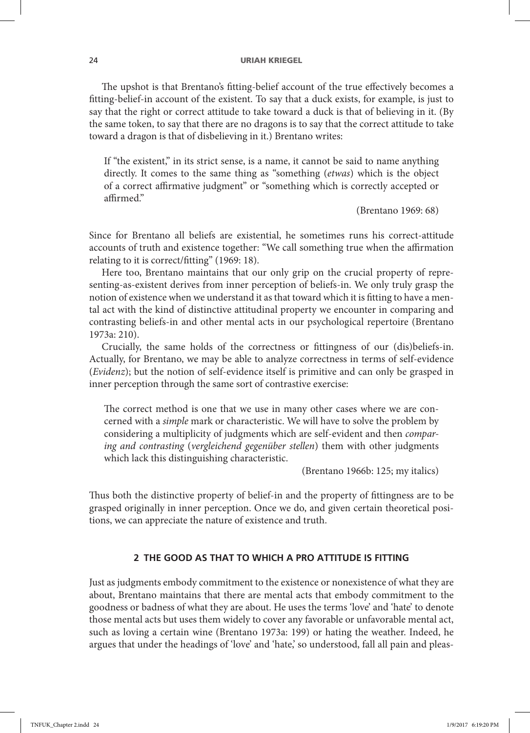The upshot is that Brentano's fitting-belief account of the true effectively becomes a fitting-belief-in account of the existent. To say that a duck exists, for example, is just to say that the right or correct attitude to take toward a duck is that of believing in it. (By the same token, to say that there are no dragons is to say that the correct attitude to take toward a dragon is that of disbelieving in it.) Brentano writes:

If "the existent," in its strict sense, is a name, it cannot be said to name anything directly. It comes to the same thing as "something (*etwas*) which is the object of a correct affirmative judgment" or "something which is correctly accepted or affirmed."

(Brentano 1969: 68)

Since for Brentano all beliefs are existential, he sometimes runs his correct-attitude accounts of truth and existence together: "We call something true when the affirmation relating to it is correct/fitting" (1969: 18).

Here too, Brentano maintains that our only grip on the crucial property of representing-as-existent derives from inner perception of beliefs-in. We only truly grasp the notion of existence when we understand it as that toward which it is fitting to have a mental act with the kind of distinctive attitudinal property we encounter in comparing and contrasting beliefs-in and other mental acts in our psychological repertoire (Brentano 1973a: 210).

Crucially, the same holds of the correctness or fittingness of our (dis)beliefs-in. Actually, for Brentano, we may be able to analyze correctness in terms of self-evidence (*Evidenz*); but the notion of self-evidence itself is primitive and can only be grasped in inner perception through the same sort of contrastive exercise:

The correct method is one that we use in many other cases where we are concerned with a *simple* mark or characteristic. We will have to solve the problem by considering a multiplicity of judgments which are self-evident and then *comparing and contrasting* (*vergleichend gegenüber stellen*) them with other judgments which lack this distinguishing characteristic.

(Brentano 1966b: 125; my italics)

Thus both the distinctive property of belief-in and the property of fittingness are to be grasped originally in inner perception. Once we do, and given certain theoretical positions, we can appreciate the nature of existence and truth.

# **� The Good as That to Which a Pro Attitude Is Fitting**

Just as judgments embody commitment to the existence or nonexistence of what they are about, Brentano maintains that there are mental acts that embody commitment to the goodness or badness of what they are about. He uses the terms 'love' and 'hate' to denote those mental acts but uses them widely to cover any favorable or unfavorable mental act, such as loving a certain wine (Brentano 1973a: 199) or hating the weather. Indeed, he argues that under the headings of 'love' and 'hate,' so understood, fall all pain and pleas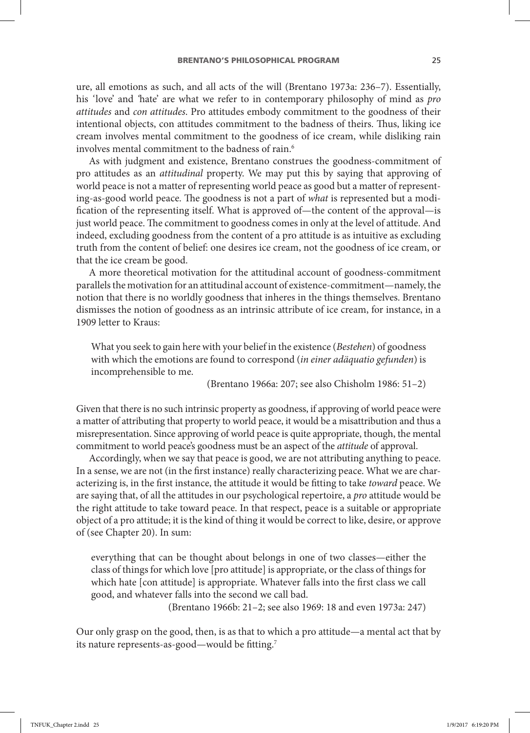ure, all emotions as such, and all acts of the will (Brentano 1973a: 236–7). Essentially, his *'*love' and *'*hate' are what we refer to in contemporary philosophy of mind as *pro attitudes* and *con attitudes*. Pro attitudes embody commitment to the goodness of their intentional objects, con attitudes commitment to the badness of theirs. Thus, liking ice cream involves mental commitment to the goodness of ice cream, while disliking rain involves mental commitment to the badness of rain.<sup>6</sup>

As with judgment and existence, Brentano construes the goodness-commitment of pro attitudes as an *attitudinal* property. We may put this by saying that approving of world peace is not a matter of representing world peace as good but a matter of representing-as-good world peace. The goodness is not a part of *what* is represented but a modification of the representing itself. What is approved of—the content of the approval—is just world peace. The commitment to goodness comes in only at the level of attitude. And indeed, excluding goodness from the content of a pro attitude is as intuitive as excluding truth from the content of belief: one desires ice cream, not the goodness of ice cream, or that the ice cream be good.

A more theoretical motivation for the attitudinal account of goodness-commitment parallels the motivation for an attitudinal account of existence-commitment—namely, the notion that there is no worldly goodness that inheres in the things themselves. Brentano dismisses the notion of goodness as an intrinsic attribute of ice cream, for instance, in a 1909 letter to Kraus:

What you seek to gain here with your belief in the existence (*Bestehen*) of goodness with which the emotions are found to correspond (*in einer adäquatio gefunden*) is incomprehensible to me.

(Brentano 1966a: 207; see also Chisholm 1986: 51–2)

Given that there is no such intrinsic property as goodness, if approving of world peace were a matter of attributing that property to world peace, it would be a misattribution and thus a misrepresentation. Since approving of world peace is quite appropriate, though, the mental commitment to world peace's goodness must be an aspect of the *attitude* of approval.

Accordingly, when we say that peace is good, we are not attributing anything to peace. In a sense, we are not (in the first instance) really characterizing peace. What we are characterizing is, in the first instance, the attitude it would be fitting to take *toward* peace. We are saying that, of all the attitudes in our psychological repertoire, a *pro* attitude would be the right attitude to take toward peace. In that respect, peace is a suitable or appropriate object of a pro attitude; it is the kind of thing it would be correct to like, desire, or approve of (see Chapter 20). In sum:

everything that can be thought about belongs in one of two classes—either the class of things for which love [pro attitude] is appropriate, or the class of things for which hate [con attitude] is appropriate. Whatever falls into the first class we call good, and whatever falls into the second we call bad.

(Brentano 1966b: 21–2; see also 1969: 18 and even 1973a: 247)

Our only grasp on the good, then, is as that to which a pro attitude—a mental act that by its nature represents-as-good—would be fitting.7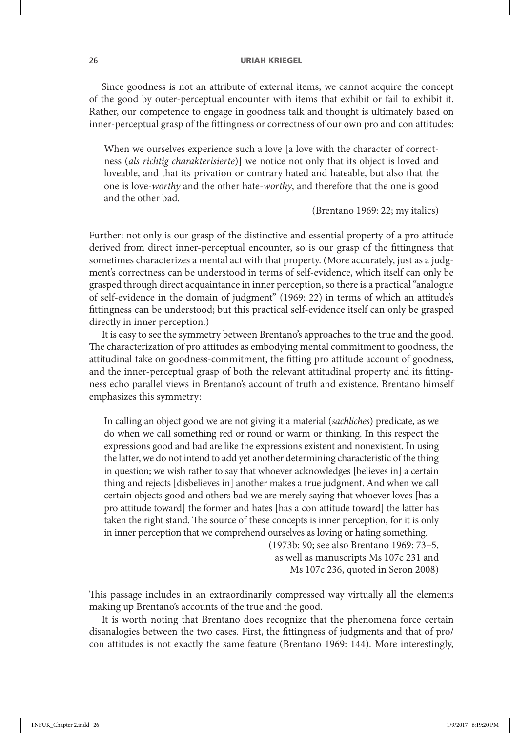Since goodness is not an attribute of external items, we cannot acquire the concept of the good by outer-perceptual encounter with items that exhibit or fail to exhibit it. Rather, our competence to engage in goodness talk and thought is ultimately based on inner-perceptual grasp of the fittingness or correctness of our own pro and con attitudes:

When we ourselves experience such a love [a love with the character of correctness (*als richtig charakterisierte*)] we notice not only that its object is loved and loveable, and that its privation or contrary hated and hateable, but also that the one is love-*worthy* and the other hate-*worthy*, and therefore that the one is good and the other bad.

(Brentano 1969: 22; my italics)

Further: not only is our grasp of the distinctive and essential property of a pro attitude derived from direct inner-perceptual encounter, so is our grasp of the fittingness that sometimes characterizes a mental act with that property. (More accurately, just as a judgment's correctness can be understood in terms of self-evidence, which itself can only be grasped through direct acquaintance in inner perception, so there is a practical "analogue of self-evidence in the domain of judgment" (1969: 22) in terms of which an attitude's fittingness can be understood; but this practical self-evidence itself can only be grasped directly in inner perception.)

It is easy to see the symmetry between Brentano's approaches to the true and the good. The characterization of pro attitudes as embodying mental commitment to goodness, the attitudinal take on goodness-commitment, the fitting pro attitude account of goodness, and the inner-perceptual grasp of both the relevant attitudinal property and its fittingness echo parallel views in Brentano's account of truth and existence. Brentano himself emphasizes this symmetry:

In calling an object good we are not giving it a material (*sachliches*) predicate, as we do when we call something red or round or warm or thinking. In this respect the expressions good and bad are like the expressions existent and nonexistent. In using the latter, we do not intend to add yet another determining characteristic of the thing in question; we wish rather to say that whoever acknowledges [believes in] a certain thing and rejects [disbelieves in] another makes a true judgment. And when we call certain objects good and others bad we are merely saying that whoever loves [has a pro attitude toward] the former and hates [has a con attitude toward] the latter has taken the right stand. The source of these concepts is inner perception, for it is only in inner perception that we comprehend ourselves as loving or hating something.

> (1973b: 90; see also Brentano 1969: 73–5, as well as manuscripts Ms 107c 231 and Ms 107c 236, quoted in Seron 2008)

This passage includes in an extraordinarily compressed way virtually all the elements making up Brentano's accounts of the true and the good.

It is worth noting that Brentano does recognize that the phenomena force certain disanalogies between the two cases. First, the fittingness of judgments and that of pro/ con attitudes is not exactly the same feature (Brentano 1969: 144). More interestingly,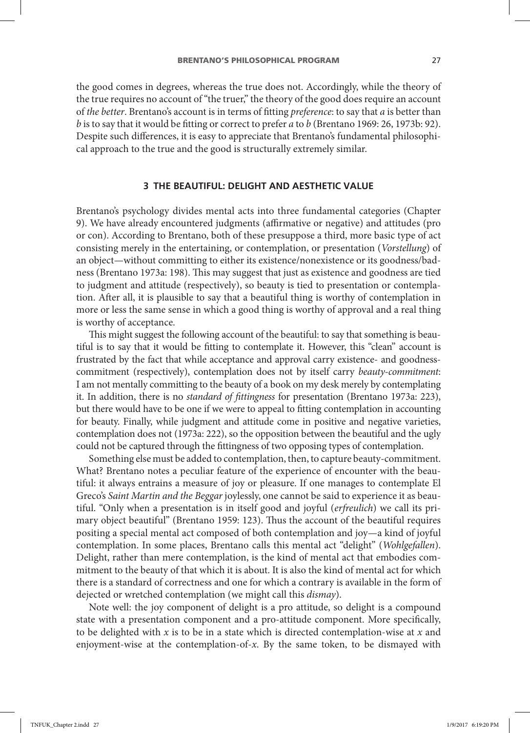the good comes in degrees, whereas the true does not. Accordingly, while the theory of the true requires no account of "the truer," the theory of the good does require an account of *the better*. Brentano's account is in terms of fitting *preference*: to say that *a* is better than *b* is to say that it would be fitting or correct to prefer *a* to *b* (Brentano 1969: 26, 1973b: 92). Despite such differences, it is easy to appreciate that Brentano's fundamental philosophical approach to the true and the good is structurally extremely similar.

### **� The Beautiful: Delight and Aesthetic Value**

Brentano's psychology divides mental acts into three fundamental categories (Chapter 9). We have already encountered judgments (affirmative or negative) and attitudes (pro or con). According to Brentano, both of these presuppose a third, more basic type of act consisting merely in the entertaining, or contemplation, or presentation (*Vorstellung*) of an object—without committing to either its existence/nonexistence or its goodness/badness (Brentano 1973a: 198). This may suggest that just as existence and goodness are tied to judgment and attitude (respectively), so beauty is tied to presentation or contemplation. After all, it is plausible to say that a beautiful thing is worthy of contemplation in more or less the same sense in which a good thing is worthy of approval and a real thing is worthy of acceptance.

This might suggest the following account of the beautiful: to say that something is beautiful is to say that it would be fitting to contemplate it. However, this "clean" account is frustrated by the fact that while acceptance and approval carry existence- and goodnesscommitment (respectively), contemplation does not by itself carry *beauty-commitment*: I am not mentally committing to the beauty of a book on my desk merely by contemplating it. In addition, there is no *standard of fittingness* for presentation (Brentano 1973a: 223), but there would have to be one if we were to appeal to fitting contemplation in accounting for beauty. Finally, while judgment and attitude come in positive and negative varieties, contemplation does not (1973a: 222), so the opposition between the beautiful and the ugly could not be captured through the fittingness of two opposing types of contemplation.

Something else must be added to contemplation, then, to capture beauty-commitment. What? Brentano notes a peculiar feature of the experience of encounter with the beautiful: it always entrains a measure of joy or pleasure. If one manages to contemplate El Greco's *Saint Martin and the Beggar* joylessly, one cannot be said to experience it as beautiful. "Only when a presentation is in itself good and joyful (*erfreulich*) we call its primary object beautiful" (Brentano 1959: 123). Thus the account of the beautiful requires positing a special mental act composed of both contemplation and joy—a kind of joyful contemplation. In some places, Brentano calls this mental act "delight" (*Wohlgefallen*). Delight, rather than mere contemplation, is the kind of mental act that embodies commitment to the beauty of that which it is about. It is also the kind of mental act for which there is a standard of correctness and one for which a contrary is available in the form of dejected or wretched contemplation (we might call this *dismay*).

Note well: the joy component of delight is a pro attitude, so delight is a compound state with a presentation component and a pro-attitude component. More specifically, to be delighted with *x* is to be in a state which is directed contemplation-wise at *x* and enjoyment-wise at the contemplation-of-*x*. By the same token, to be dismayed with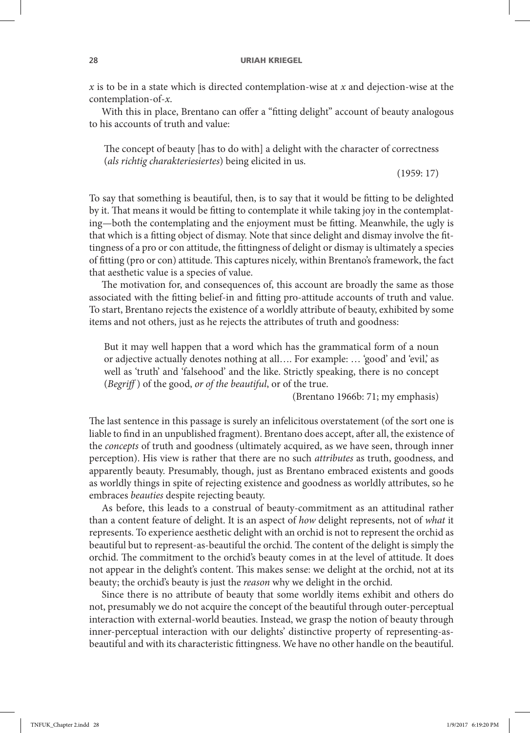*x* is to be in a state which is directed contemplation-wise at *x* and dejection-wise at the contemplation-of-*x*.

With this in place, Brentano can offer a "fitting delight" account of beauty analogous to his accounts of truth and value:

The concept of beauty [has to do with] a delight with the character of correctness (*als richtig charakteriesiertes*) being elicited in us.

(1959: 17)

To say that something is beautiful, then, is to say that it would be fitting to be delighted by it. That means it would be fitting to contemplate it while taking joy in the contemplating—both the contemplating and the enjoyment must be fitting. Meanwhile, the ugly is that which is a fitting object of dismay. Note that since delight and dismay involve the fittingness of a pro or con attitude, the fittingness of delight or dismay is ultimately a species of fitting (pro or con) attitude. This captures nicely, within Brentano's framework, the fact that aesthetic value is a species of value.

The motivation for, and consequences of, this account are broadly the same as those associated with the fitting belief-in and fitting pro-attitude accounts of truth and value. To start, Brentano rejects the existence of a worldly attribute of beauty, exhibited by some items and not others, just as he rejects the attributes of truth and goodness:

But it may well happen that a word which has the grammatical form of a noun or adjective actually denotes nothing at all…. For example: … 'good' and 'evil,' as well as 'truth' and 'falsehood' and the like. Strictly speaking, there is no concept (*Begriff* ) of the good, *or of the beautiful*, or of the true.

(Brentano 1966b: 71; my emphasis)

The last sentence in this passage is surely an infelicitous overstatement (of the sort one is liable to find in an unpublished fragment). Brentano does accept, after all, the existence of the *concepts* of truth and goodness (ultimately acquired, as we have seen, through inner perception). His view is rather that there are no such *attributes* as truth, goodness, and apparently beauty. Presumably, though, just as Brentano embraced existents and goods as worldly things in spite of rejecting existence and goodness as worldly attributes, so he embraces *beauties* despite rejecting beauty.

As before, this leads to a construal of beauty-commitment as an attitudinal rather than a content feature of delight. It is an aspect of *how* delight represents, not of *what* it represents. To experience aesthetic delight with an orchid is not to represent the orchid as beautiful but to represent-as-beautiful the orchid. The content of the delight is simply the orchid. The commitment to the orchid's beauty comes in at the level of attitude. It does not appear in the delight's content. This makes sense: we delight at the orchid, not at its beauty; the orchid's beauty is just the *reason* why we delight in the orchid.

Since there is no attribute of beauty that some worldly items exhibit and others do not, presumably we do not acquire the concept of the beautiful through outer-perceptual interaction with external-world beauties. Instead, we grasp the notion of beauty through inner-perceptual interaction with our delights' distinctive property of representing-asbeautiful and with its characteristic fittingness. We have no other handle on the beautiful.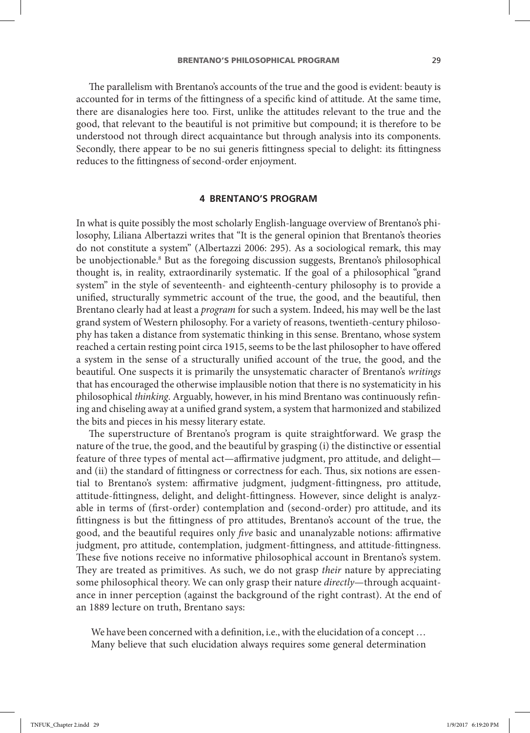The parallelism with Brentano's accounts of the true and the good is evident: beauty is accounted for in terms of the fittingness of a specific kind of attitude. At the same time, there are disanalogies here too. First, unlike the attitudes relevant to the true and the good, that relevant to the beautiful is not primitive but compound; it is therefore to be understood not through direct acquaintance but through analysis into its components. Secondly, there appear to be no sui generis fittingness special to delight: its fittingness reduces to the fittingness of second-order enjoyment.

#### **� Brentano's Program**

In what is quite possibly the most scholarly English-language overview of Brentano's philosophy, Liliana Albertazzi writes that "It is the general opinion that Brentano's theories do not constitute a system" (Albertazzi 2006: 295). As a sociological remark, this may be unobjectionable.8 But as the foregoing discussion suggests, Brentano's philosophical thought is, in reality, extraordinarily systematic. If the goal of a philosophical "grand system" in the style of seventeenth- and eighteenth-century philosophy is to provide a unified, structurally symmetric account of the true, the good, and the beautiful, then Brentano clearly had at least a *program* for such a system. Indeed, his may well be the last grand system of Western philosophy. For a variety of reasons, twentieth-century philosophy has taken a distance from systematic thinking in this sense. Brentano, whose system reached a certain resting point circa 1915, seems to be the last philosopher to have offered a system in the sense of a structurally unified account of the true, the good, and the beautiful. One suspects it is primarily the unsystematic character of Brentano's *writings* that has encouraged the otherwise implausible notion that there is no systematicity in his philosophical *thinking*. Arguably, however, in his mind Brentano was continuously refining and chiseling away at a unified grand system, a system that harmonized and stabilized the bits and pieces in his messy literary estate.

The superstructure of Brentano's program is quite straightforward. We grasp the nature of the true, the good, and the beautiful by grasping (i) the distinctive or essential feature of three types of mental act—affirmative judgment, pro attitude, and delight and (ii) the standard of fittingness or correctness for each. Thus, six notions are essential to Brentano's system: affirmative judgment, judgment-fittingness, pro attitude, attitude-fittingness, delight, and delight-fittingness. However, since delight is analyzable in terms of (first-order) contemplation and (second-order) pro attitude, and its fittingness is but the fittingness of pro attitudes, Brentano's account of the true, the good, and the beautiful requires only *five* basic and unanalyzable notions: affirmative judgment, pro attitude, contemplation, judgment-fittingness, and attitude-fittingness. These five notions receive no informative philosophical account in Brentano's system. They are treated as primitives. As such, we do not grasp *their* nature by appreciating some philosophical theory. We can only grasp their nature *directly*—through acquaintance in inner perception (against the background of the right contrast). At the end of an 1889 lecture on truth, Brentano says:

We have been concerned with a definition, i.e., with the elucidation of a concept … Many believe that such elucidation always requires some general determination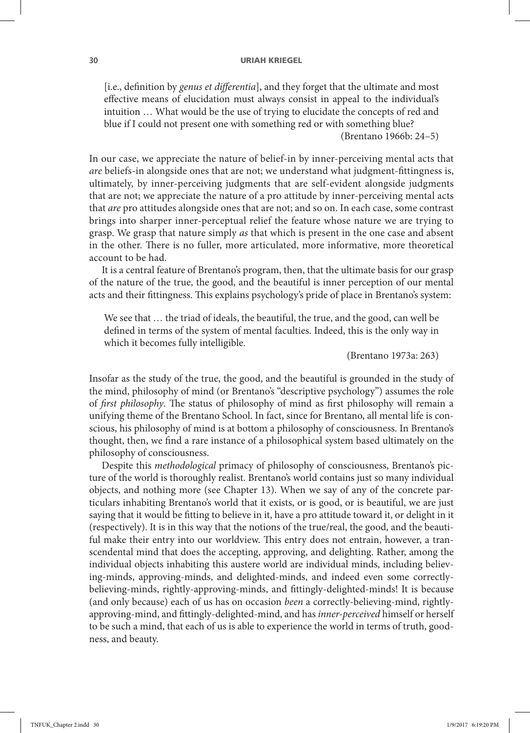#### 30 Uriah Kriegel

[i.e., definition by *genus et differentia*], and they forget that the ultimate and most effective means of elucidation must always consist in appeal to the individual's intuition … What would be the use of trying to elucidate the concepts of red and blue if I could not present one with something red or with something blue?

(Brentano 1966b: 24–5)

In our case, we appreciate the nature of belief-in by inner-perceiving mental acts that *are* beliefs-in alongside ones that are not; we understand what judgment-fittingness is, ultimately, by inner-perceiving judgments that are self-evident alongside judgments that are not; we appreciate the nature of a pro attitude by inner-perceiving mental acts that *are* pro attitudes alongside ones that are not; and so on. In each case, some contrast brings into sharper inner-perceptual relief the feature whose nature we are trying to grasp. We grasp that nature simply *as* that which is present in the one case and absent in the other. There is no fuller, more articulated, more informative, more theoretical account to be had.

It is a central feature of Brentano's program, then, that the ultimate basis for our grasp of the nature of the true, the good, and the beautiful is inner perception of our mental acts and their fittingness. This explains psychology's pride of place in Brentano's system:

We see that … the triad of ideals, the beautiful, the true, and the good, can well be defined in terms of the system of mental faculties. Indeed, this is the only way in which it becomes fully intelligible.

(Brentano 1973a: 263)

Insofar as the study of the true, the good, and the beautiful is grounded in the study of the mind, philosophy of mind (or Brentano's "descriptive psychology") assumes the role of *first philosophy*. The status of philosophy of mind as first philosophy will remain a unifying theme of the Brentano School. In fact, since for Brentano, all mental life is conscious, his philosophy of mind is at bottom a philosophy of consciousness. In Brentano's thought, then, we find a rare instance of a philosophical system based ultimately on the philosophy of consciousness.

Despite this *methodological* primacy of philosophy of consciousness, Brentano's picture of the world is thoroughly realist. Brentano's world contains just so many individual objects, and nothing more (see Chapter 13). When we say of any of the concrete particulars inhabiting Brentano's world that it exists, or is good, or is beautiful, we are just saying that it would be fitting to believe in it, have a pro attitude toward it, or delight in it (respectively). It is in this way that the notions of the true/real, the good, and the beautiful make their entry into our worldview. This entry does not entrain, however, a transcendental mind that does the accepting, approving, and delighting. Rather, among the individual objects inhabiting this austere world are individual minds, including believing-minds, approving-minds, and delighted-minds, and indeed even some correctlybelieving-minds, rightly-approving-minds, and fittingly-delighted-minds! It is because (and only because) each of us has on occasion *been* a correctly-believing-mind, rightlyapproving-mind, and fittingly-delighted-mind, and has *inner-perceived* himself or herself to be such a mind, that each of us is able to experience the world in terms of truth, goodness, and beauty.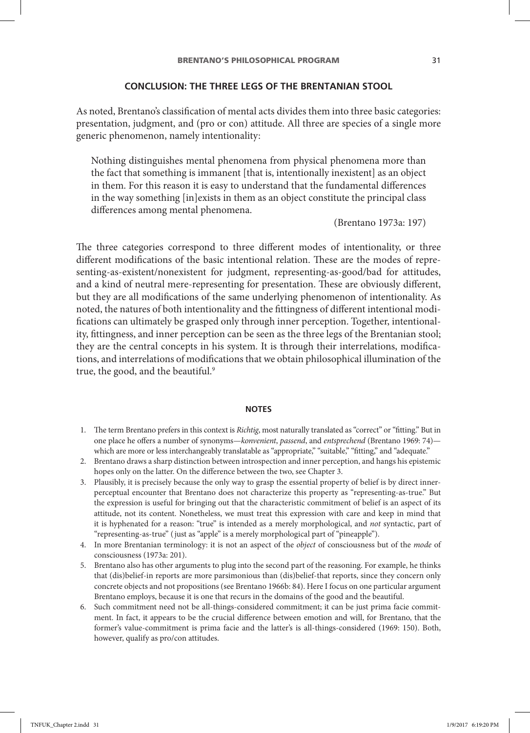## **Conclusion: The Three Legs of the Brentanian Stool**

As noted, Brentano's classification of mental acts divides them into three basic categories: presentation, judgment, and (pro or con) attitude. All three are species of a single more generic phenomenon, namely intentionality:

Nothing distinguishes mental phenomena from physical phenomena more than the fact that something is immanent [that is, intentionally inexistent] as an object in them. For this reason it is easy to understand that the fundamental differences in the way something [in]exists in them as an object constitute the principal class differences among mental phenomena.

(Brentano 1973a: 197)

The three categories correspond to three different modes of intentionality, or three different modifications of the basic intentional relation. These are the modes of representing-as-existent/nonexistent for judgment, representing-as-good/bad for attitudes, and a kind of neutral mere-representing for presentation. These are obviously different, but they are all modifications of the same underlying phenomenon of intentionality. As noted, the natures of both intentionality and the fittingness of different intentional modifications can ultimately be grasped only through inner perception. Together, intentionality, fittingness, and inner perception can be seen as the three legs of the Brentanian stool; they are the central concepts in his system. It is through their interrelations, modifications, and interrelations of modifications that we obtain philosophical illumination of the true, the good, and the beautiful.<sup>9</sup>

#### **Notes**

- 1. The term Brentano prefers in this context is *Richtig*, most naturally translated as "correct" or "fitting." But in one place he offers a number of synonyms—*konvenient*, *passend*, and *entsprechend* (Brentano 1969: 74) which are more or less interchangeably translatable as "appropriate," "suitable," "fitting," and "adequate."
- 2. Brentano draws a sharp distinction between introspection and inner perception, and hangs his epistemic hopes only on the latter. On the difference between the two, see Chapter 3.
- 3. Plausibly, it is precisely because the only way to grasp the essential property of belief is by direct innerperceptual encounter that Brentano does not characterize this property as "representing-as-true." But the expression is useful for bringing out that the characteristic commitment of belief is an aspect of its attitude, not its content. Nonetheless, we must treat this expression with care and keep in mind that it is hyphenated for a reason: "true" is intended as a merely morphological, and *not* syntactic, part of "representing-as-true" (just as "apple" is a merely morphological part of "pineapple").
- 4. In more Brentanian terminology: it is not an aspect of the *object* of consciousness but of the *mode* of consciousness (1973a: 201).
- 5. Brentano also has other arguments to plug into the second part of the reasoning. For example, he thinks that (dis)belief-in reports are more parsimonious than (dis)belief-that reports, since they concern only concrete objects and not propositions (see Brentano 1966b: 84). Here I focus on one particular argument Brentano employs, because it is one that recurs in the domains of the good and the beautiful.
- 6. Such commitment need not be all-things-considered commitment; it can be just prima facie commitment. In fact, it appears to be the crucial difference between emotion and will, for Brentano, that the former's value-commitment is prima facie and the latter's is all-things-considered (1969: 150). Both, however, qualify as pro/con attitudes.